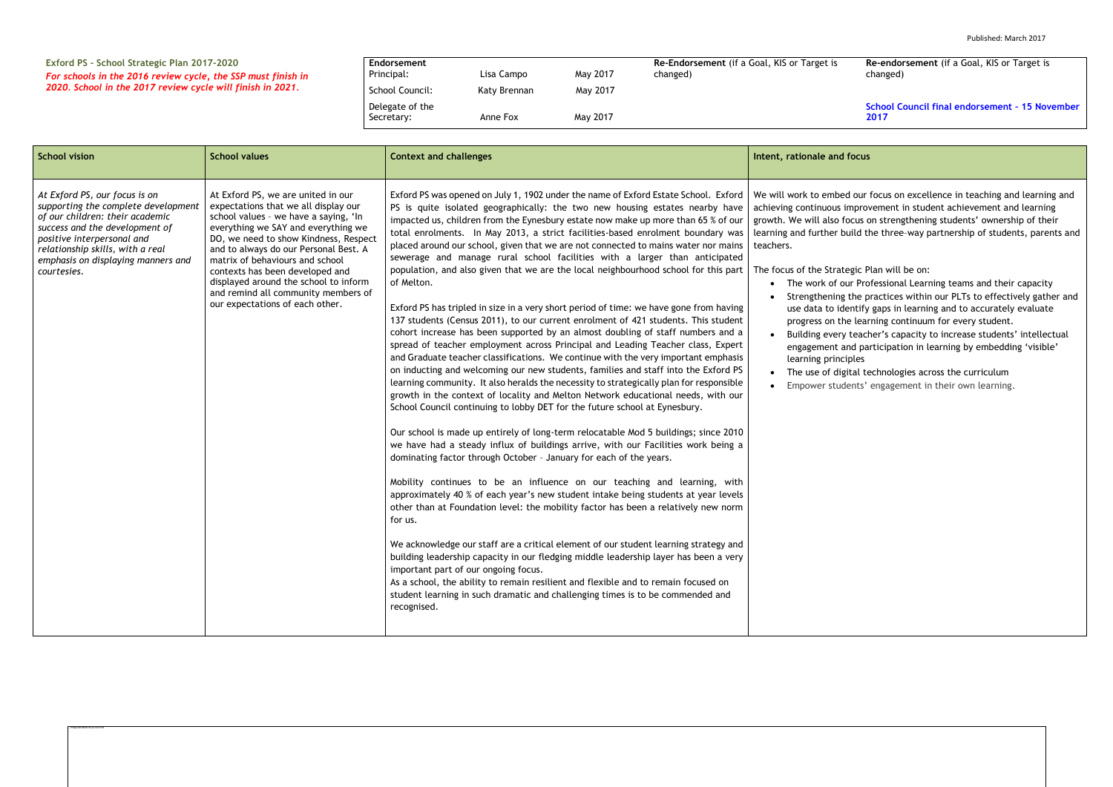## **Exford PS – School Strategic Plan 2017-2020** *For schools in the 2016 review cycle, the SSP must finish in 2020. School in the 2017 review cycle will finish in 2021.*

| Endorsement                   |              |          | Re-Endorsement (if a Goal, KIS or Target is |
|-------------------------------|--------------|----------|---------------------------------------------|
| Principal:                    | Lisa Campo   | May 2017 | changed)                                    |
| School Council:               | Katy Brennan | May 2017 |                                             |
| Delegate of the<br>Secretary: | Anne Fox     | May 2017 |                                             |

**Re-endorsement** (if a Goal, KIS or Target is changed)

**School Council final endorsement – 15 November 2017**

ed our focus on excellence in teaching and learning and improvement in student achievement and learning focus on strengthening students' ownership of their build the three-way partnership of students, parents and

- tegic Plan will be on:
- our Professional Learning teams and their capacity
- the practices within our PLTs to effectively gather and dentify gaps in learning and to accurately evaluate
- he learning continuum for every student.
- y teacher's capacity to increase students' intellectual and participation in learning by embedding 'visible' ciples
- gital technologies across the curriculum
- dents' engagement in their own learning.

| <b>School vision</b>                                                                                                                                                                                                                                             | <b>School values</b>                                                                                                                                                                                                                                                                                                                                                                                                                  | <b>Context and challenges</b>                                                                                                                                                                                                                                                                                                                                                                                                                                                                                                                                                                                                                                                                                                                                                                                                                                                                                                                                                                                                                                                                                                                                                                                                                                                                                                                                                                                                                                                                                                                                                                                                                                                                                                                                                                                                                                                                                                                                                                                                                                                                                                                                                                                                                                                                                                                           | Intent, rationale and focus                                                                                                                                                                                                                                                                                                                                                          |
|------------------------------------------------------------------------------------------------------------------------------------------------------------------------------------------------------------------------------------------------------------------|---------------------------------------------------------------------------------------------------------------------------------------------------------------------------------------------------------------------------------------------------------------------------------------------------------------------------------------------------------------------------------------------------------------------------------------|---------------------------------------------------------------------------------------------------------------------------------------------------------------------------------------------------------------------------------------------------------------------------------------------------------------------------------------------------------------------------------------------------------------------------------------------------------------------------------------------------------------------------------------------------------------------------------------------------------------------------------------------------------------------------------------------------------------------------------------------------------------------------------------------------------------------------------------------------------------------------------------------------------------------------------------------------------------------------------------------------------------------------------------------------------------------------------------------------------------------------------------------------------------------------------------------------------------------------------------------------------------------------------------------------------------------------------------------------------------------------------------------------------------------------------------------------------------------------------------------------------------------------------------------------------------------------------------------------------------------------------------------------------------------------------------------------------------------------------------------------------------------------------------------------------------------------------------------------------------------------------------------------------------------------------------------------------------------------------------------------------------------------------------------------------------------------------------------------------------------------------------------------------------------------------------------------------------------------------------------------------------------------------------------------------------------------------------------------------|--------------------------------------------------------------------------------------------------------------------------------------------------------------------------------------------------------------------------------------------------------------------------------------------------------------------------------------------------------------------------------------|
| At Exford PS, our focus is on<br>supporting the complete development<br>of our children: their academic<br>success and the development of<br>positive interpersonal and<br>relationship skills, with a real<br>emphasis on displaying manners and<br>courtesies. | At Exford PS, we are united in our<br>expectations that we all display our<br>school values - we have a saying, 'In<br>everything we SAY and everything we<br>DO, we need to show Kindness, Respect<br>and to always do our Personal Best. A<br>matrix of behaviours and school<br>contexts has been developed and<br>displayed around the school to inform<br>and remind all community members of<br>our expectations of each other. | Exford PS was opened on July 1, 1902 under the name of Exford Estate School. Exford<br>PS is quite isolated geographically: the two new housing estates nearby have<br>impacted us, children from the Eynesbury estate now make up more than 65 % of our<br>total enrolments. In May 2013, a strict facilities-based enrolment boundary was<br>placed around our school, given that we are not connected to mains water nor mains<br>sewerage and manage rural school facilities with a larger than anticipated<br>population, and also given that we are the local neighbourhood school for this part<br>of Melton.<br>Exford PS has tripled in size in a very short period of time: we have gone from having<br>137 students (Census 2011), to our current enrolment of 421 students. This student<br>cohort increase has been supported by an almost doubling of staff numbers and a<br>spread of teacher employment across Principal and Leading Teacher class, Expert<br>and Graduate teacher classifications. We continue with the very important emphasis<br>on inducting and welcoming our new students, families and staff into the Exford PS<br>learning community. It also heralds the necessity to strategically plan for responsible<br>growth in the context of locality and Melton Network educational needs, with our<br>School Council continuing to lobby DET for the future school at Eynesbury.<br>Our school is made up entirely of long-term relocatable Mod 5 buildings; since 2010<br>we have had a steady influx of buildings arrive, with our Facilities work being a<br>dominating factor through October - January for each of the years.<br>Mobility continues to be an influence on our teaching and learning, with<br>approximately 40 % of each year's new student intake being students at year levels<br>other than at Foundation level: the mobility factor has been a relatively new norm<br>for us.<br>We acknowledge our staff are a critical element of our student learning strategy and<br>building leadership capacity in our fledging middle leadership layer has been a very<br>important part of our ongoing focus.<br>As a school, the ability to remain resilient and flexible and to remain focused on<br>student learning in such dramatic and challenging times is to be commended and<br>recognised. | We will work to embed our<br>achieving continuous impro<br>growth. We will also focus o<br>learning and further build t<br>teachers.<br>The focus of the Strategic P<br>The work of our Pro<br>Strengthening the p<br>use data to identify<br>progress on the lear<br>Building every teacl<br>engagement and pa<br>learning principles<br>The use of digital te<br>Empower students' |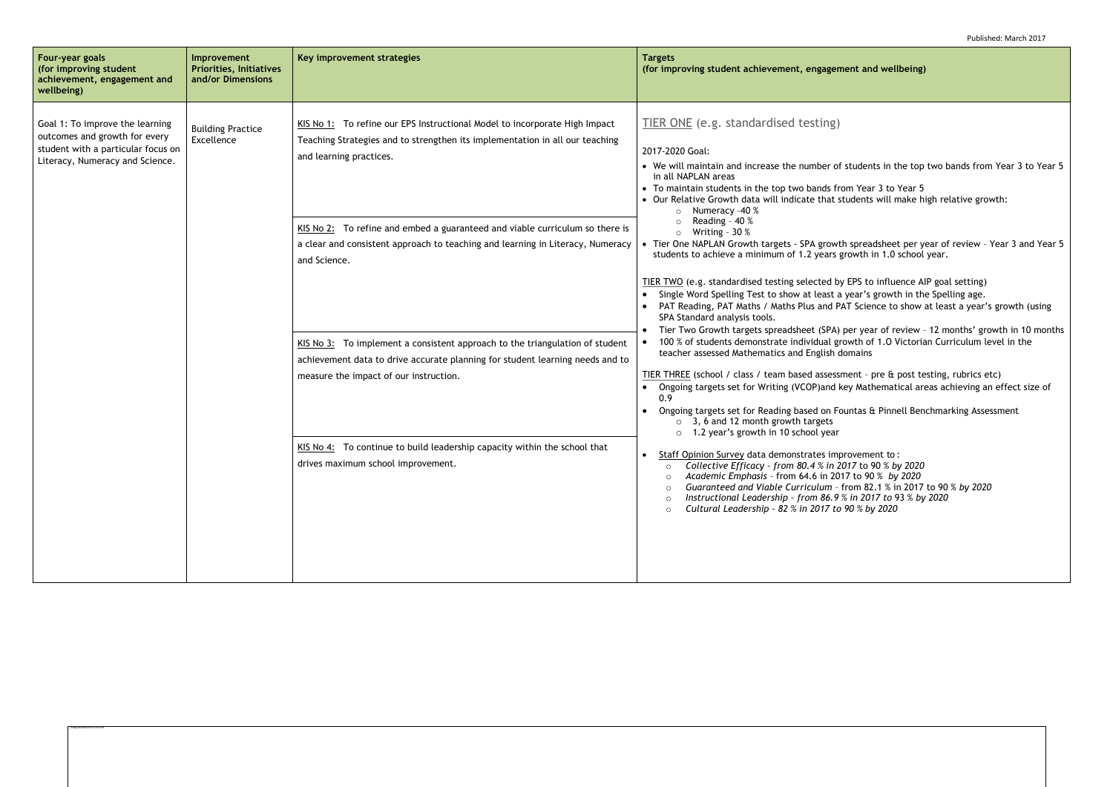### **(for impropentuand entiangly)**

students in the top two bands from Year 3 to Year 5

om Year 3 to Year 5 tudents will make high relative growth:

th spreadsheet per year of review - Year 3 and Year 5 growth in 1.0 school year.

EPS to influence AIP goal setting)  $\alpha$  year's growth in the Spelling age. AT Science to show at least a year's growth (using

per year of review - 12 months' growth in 10 months rowth of 1.0 Victorian Curriculum level in the teacher as<br>teach

Thent - pre & post testing, rubrics etc) key Mathematical areas achieving an effect size of

vuntas & Pinnell Benchmarking Assessment

rovement to : o *Collective Efficacy – from 80.4 % in 2017* to 90 % *by 2020* o *Academic Emphasis* – from 64.6 in 2017 to 90 % *by 2020* o *Guaranteed and Viable Curriculum* – from 82.1 % in 2017 to 90 % *by 2020* o *Instructional Leadership – from 86.9 % in 2017 to* 93 % *by 2020* o *Cultural Leadership – 82 % in 2017 to 90 % by 2020*

| Four-year goals<br>(for improving student<br>achievement, engagement and<br>wellbeing)                                                    | Improvement<br><b>Priorities, Initiatives</b><br>and/or Dimensions | Key improvement strategies                                                                                                                                                                                                                                                                                                                              | <b>Targets</b><br>(for improving student achievement, engagem                                                                                                                                                                                                                                                                                                                                                                                                                                                                                                                                                                                                                                                                                                                                                                                                                                                                                                                    |
|-------------------------------------------------------------------------------------------------------------------------------------------|--------------------------------------------------------------------|---------------------------------------------------------------------------------------------------------------------------------------------------------------------------------------------------------------------------------------------------------------------------------------------------------------------------------------------------------|----------------------------------------------------------------------------------------------------------------------------------------------------------------------------------------------------------------------------------------------------------------------------------------------------------------------------------------------------------------------------------------------------------------------------------------------------------------------------------------------------------------------------------------------------------------------------------------------------------------------------------------------------------------------------------------------------------------------------------------------------------------------------------------------------------------------------------------------------------------------------------------------------------------------------------------------------------------------------------|
| Goal 1: To improve the learning<br>outcomes and growth for every<br>student with a particular focus on<br>Literacy, Numeracy and Science. | <b>Building Practice</b><br>Excellence                             | KIS No 1: To refine our EPS Instructional Model to incorporate High Impact<br>Teaching Strategies and to strengthen its implementation in all our teaching<br>and learning practices.<br>KIS No 2: To refine and embed a guaranteed and viable curriculum so there is<br>a clear and consistent approach to teaching and learning in Literacy, Numeracy | TIER ONE (e.g. standardised testing)<br>2017-2020 Goal:<br>• We will maintain and increase the number of<br>in all NAPLAN areas<br>• To maintain students in the top two bands fro<br>• Our Relative Growth data will indicate that st<br>Numeracy -40 %<br>Reading - 40 %<br>Writing - $30\%$<br>• Tier One NAPLAN Growth targets - SPA growth<br>students to achieve a minimum of 1.2 years g<br>TIER TWO (e.g. standardised testing selected by<br>Single Word Spelling Test to show at least a<br>PAT Reading, PAT Maths / Maths Plus and PA<br>SPA Standard analysis tools.<br>Tier Two Growth targets spreadsheet (SPA) I<br>100 % of students demonstrate individual gro<br>$\bullet$<br>teacher assessed Mathematics and English do<br>TIER THREE (school / class / team based assessn<br>Ongoing targets set for Writing (VCOP)and ke<br>0.9<br>Ongoing targets set for Reading based on For<br>3, 6 and 12 month growth targets<br>1.2 year's growth in 10 school year |
|                                                                                                                                           |                                                                    | and Science.<br>KIS No 3: To implement a consistent approach to the triangulation of student<br>achievement data to drive accurate planning for student learning needs and to<br>measure the impact of our instruction.                                                                                                                                 |                                                                                                                                                                                                                                                                                                                                                                                                                                                                                                                                                                                                                                                                                                                                                                                                                                                                                                                                                                                  |
|                                                                                                                                           |                                                                    | KIS No 4: To continue to build leadership capacity within the school that<br>drives maximum school improvement.                                                                                                                                                                                                                                         | Staff Opinion Survey data demonstrates imp<br>○ Collective Efficacy - from 80.4 % in 20<br>Academic Emphasis - from 64.6 in 201<br>$\circ$<br>Guaranteed and Viable Curriculum - f<br>$\circ$<br>Instructional Leadership - from 86.9 %<br>$\circ$<br>Cultural Leadership - 82 % in 2017 to<br>$\Omega$                                                                                                                                                                                                                                                                                                                                                                                                                                                                                                                                                                                                                                                                          |